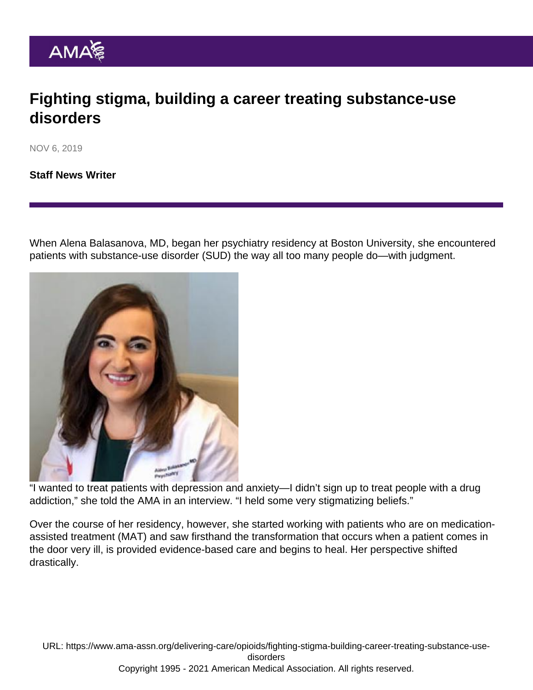## Fighting stigma, building a career treating substance-use disorders

NOV 6, 2019

[Staff News Writer](https://www.ama-assn.org/news-leadership-viewpoints/authors-news-leadership-viewpoints/staff-news-writer)

When Alena Balasanova, MD, began her psychiatry residency at Boston University, she encountered patients with substance-use disorder (SUD) the way all too many people do—with judgment.

"I wanted to treat patients with depression and anxiety—I didn't sign up to treat people with a drug addiction," she told the AMA in an interview. "I held some very stigmatizing beliefs."

Over the course of her residency, however, she started working with patients who are on medicationassisted treatment (MAT) and saw firsthand the transformation that occurs when a patient comes in the door very ill, is provided evidence-based care and begins to heal. Her perspective shifted drastically.

URL: [https://www.ama-assn.org/delivering-care/opioids/fighting-stigma-building-career-treating-substance-use](https://www.ama-assn.org/delivering-care/opioids/fighting-stigma-building-career-treating-substance-use-disorders)[disorders](https://www.ama-assn.org/delivering-care/opioids/fighting-stigma-building-career-treating-substance-use-disorders) Copyright 1995 - 2021 American Medical Association. All rights reserved.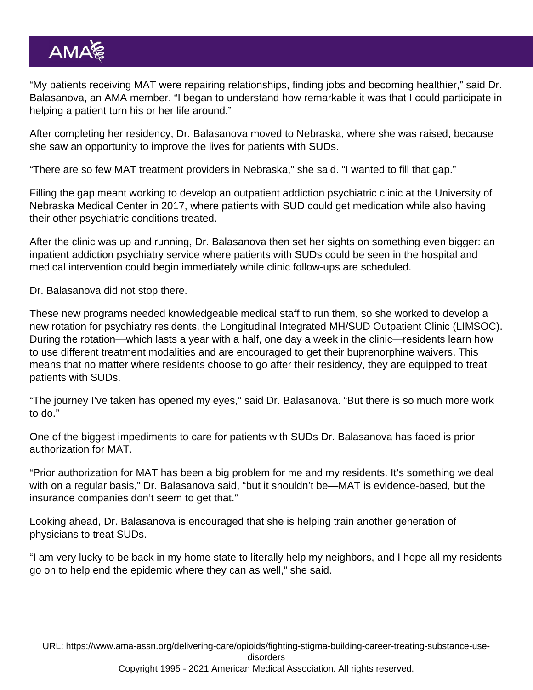"My patients receiving MAT were repairing relationships, finding jobs and becoming healthier," said Dr. Balasanova, an AMA member. "I began to understand how remarkable it was that I could participate in helping a patient turn his or her life around."

After completing her residency, Dr. Balasanova moved to Nebraska, where she was raised, because she saw an opportunity to improve the lives for patients with SUDs.

"There are so few MAT treatment providers in Nebraska," she said. "I wanted to fill that gap."

Filling the gap meant working to develop an outpatient addiction psychiatric clinic at the University of Nebraska Medical Center in 2017, where patients with SUD could get medication while also having their other psychiatric conditions treated.

After the clinic was up and running, Dr. Balasanova then set her sights on something even bigger: an inpatient addiction psychiatry service where patients with SUDs could be seen in the hospital and medical intervention could begin immediately while clinic follow-ups are scheduled.

Dr. Balasanova did not stop there.

These new programs needed knowledgeable medical staff to run them, so she worked to develop a new rotation for psychiatry residents, the Longitudinal Integrated MH/SUD Outpatient Clinic (LIMSOC). During the rotation—which lasts a year with a half, one day a week in the clinic—residents learn how to use different treatment modalities and are encouraged to get their buprenorphine waivers. This means that no matter where residents choose to go after their residency, they are equipped to treat patients with SUDs.

"The journey I've taken has opened my eyes," said Dr. Balasanova. "But there is so much more work to do."

One of the biggest impediments to care for patients with SUDs Dr. Balasanova has faced is prior authorization for MAT.

"Prior authorization for MAT has been a big problem for me and my residents. It's something we deal with on a regular basis," Dr. Balasanova said, "but it shouldn't be—MAT is evidence-based, but the insurance companies don't seem to get that."

Looking ahead, Dr. Balasanova is encouraged that she is helping train another generation of physicians to treat SUDs.

"I am very lucky to be back in my home state to literally help my neighbors, and I hope all my residents go on to help end the epidemic where they can as well," she said.

URL: [https://www.ama-assn.org/delivering-care/opioids/fighting-stigma-building-career-treating-substance-use](https://www.ama-assn.org/delivering-care/opioids/fighting-stigma-building-career-treating-substance-use-disorders)[disorders](https://www.ama-assn.org/delivering-care/opioids/fighting-stigma-building-career-treating-substance-use-disorders)